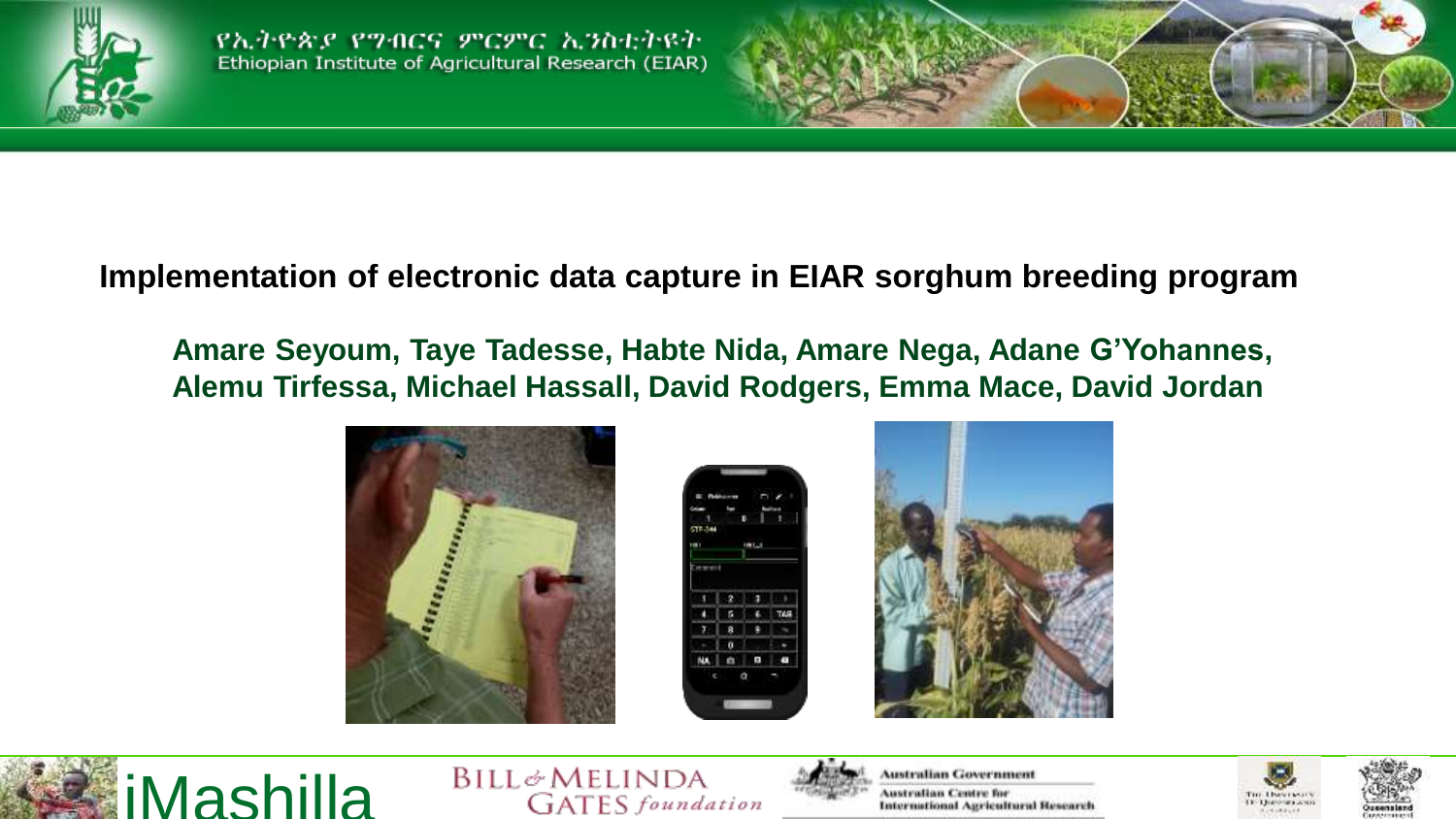

የኢትዮጵያ የግብርና ምርምር ኢንስቲትዩት Ethiopian Institute of Agricultural Research (EIAR)



#### **Implementation of electronic data capture in EIAR sorghum breeding program**

**Amare Seyoum, Taye Tadesse, Habte Nida, Amare Nega, Adane G'Yohannes, Alemu Tirfessa, Michael Hassall, David Rodgers, Emma Mace, David Jordan**













**Australian Centre for International Agricultural Research** 



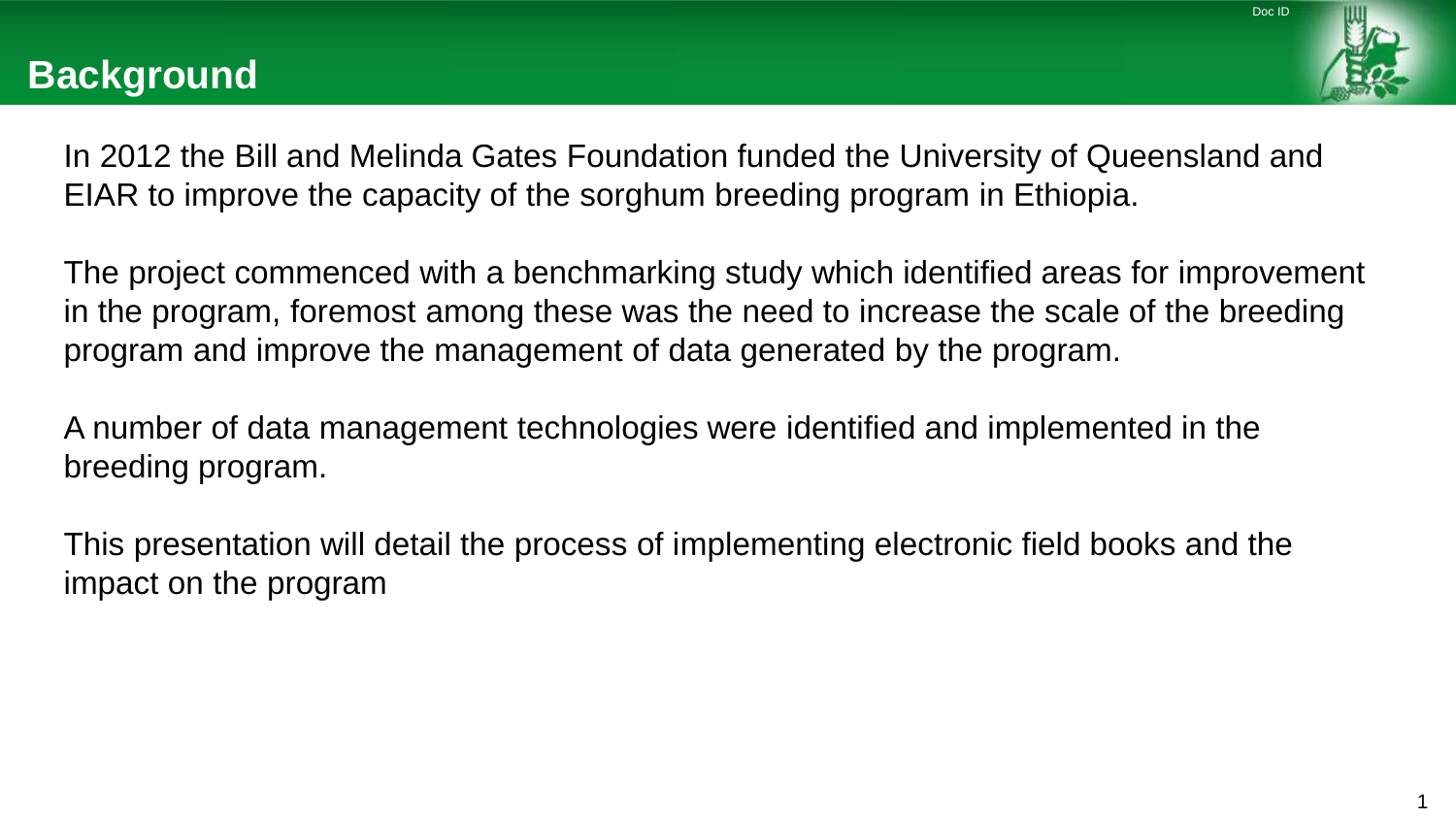

1

In 2012 the Bill and Melinda Gates Foundation funded the University of Queensland and EIAR to improve the capacity of the sorghum breeding program in Ethiopia.

The project commenced with a benchmarking study which identified areas for improvement in the program, foremost among these was the need to increase the scale of the breeding program and improve the management of data generated by the program.

A number of data management technologies were identified and implemented in the breeding program.

This presentation will detail the process of implementing electronic field books and the impact on the program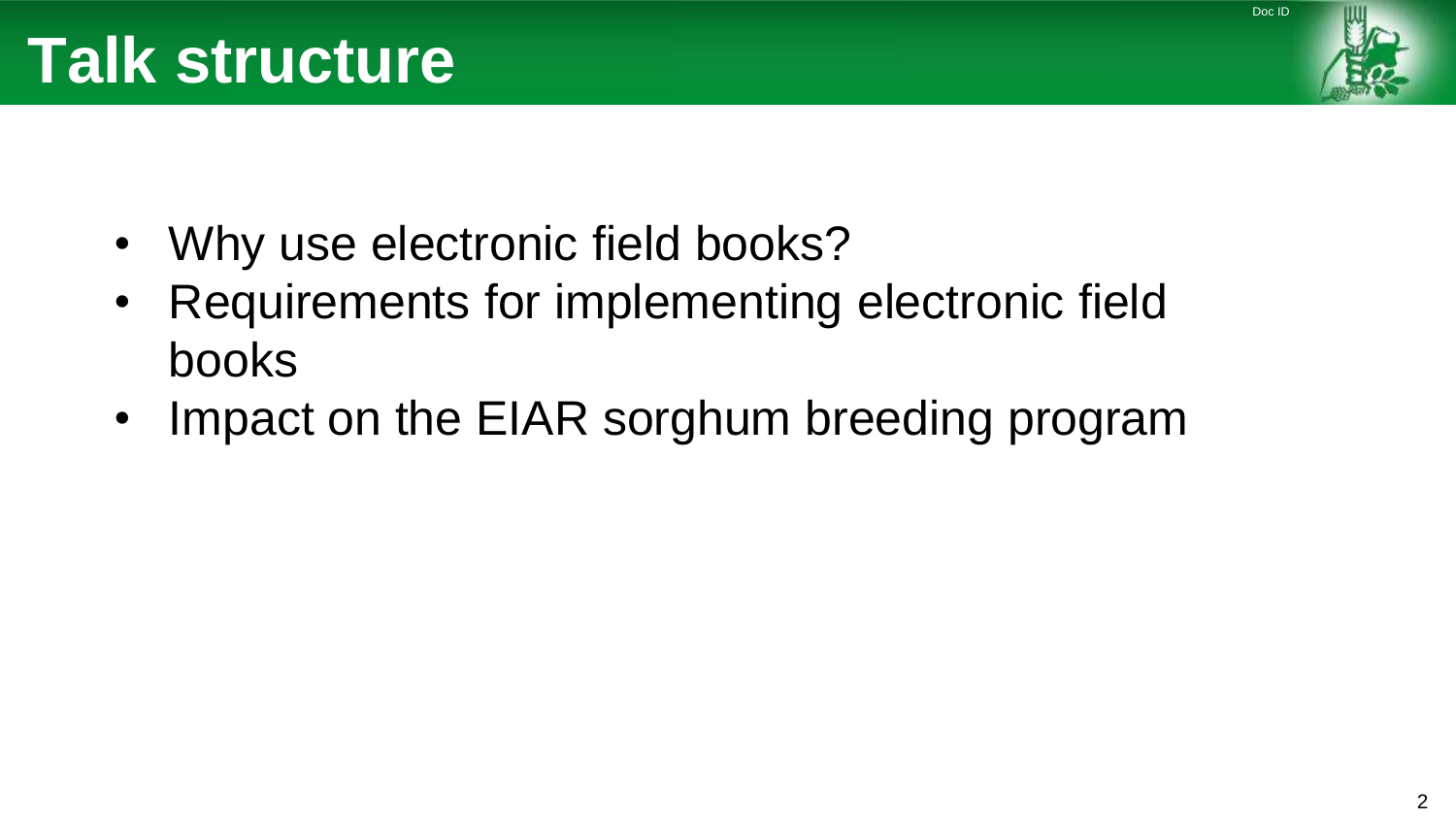

- Why use electronic field books?
- Requirements for implementing electronic field books
- Impact on the EIAR sorghum breeding program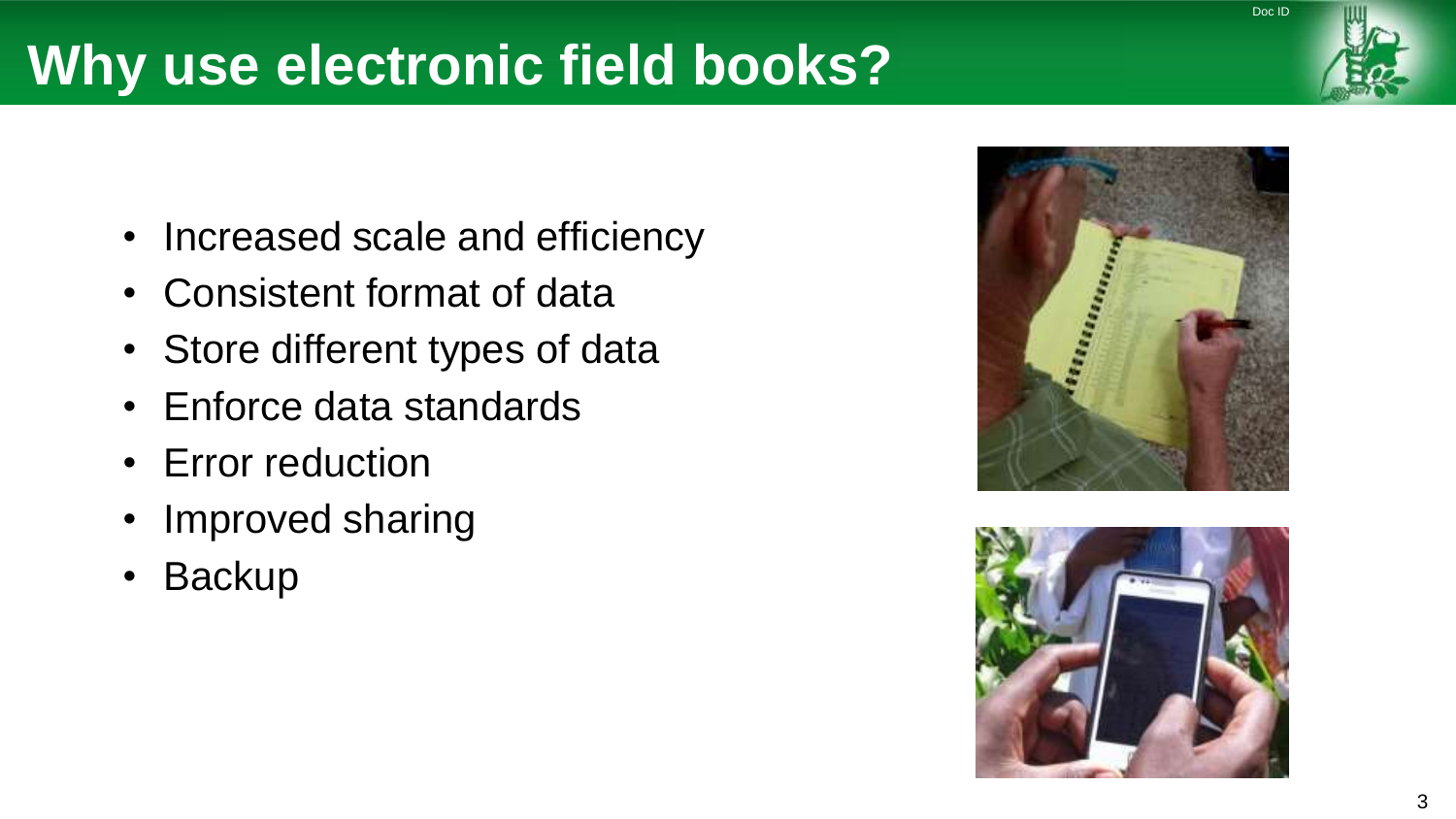- Increased scale and efficiency
- Consistent format of data
- Store different types of data
- Enforce data standards
- Error reduction
- Improved sharing
- Backup

3





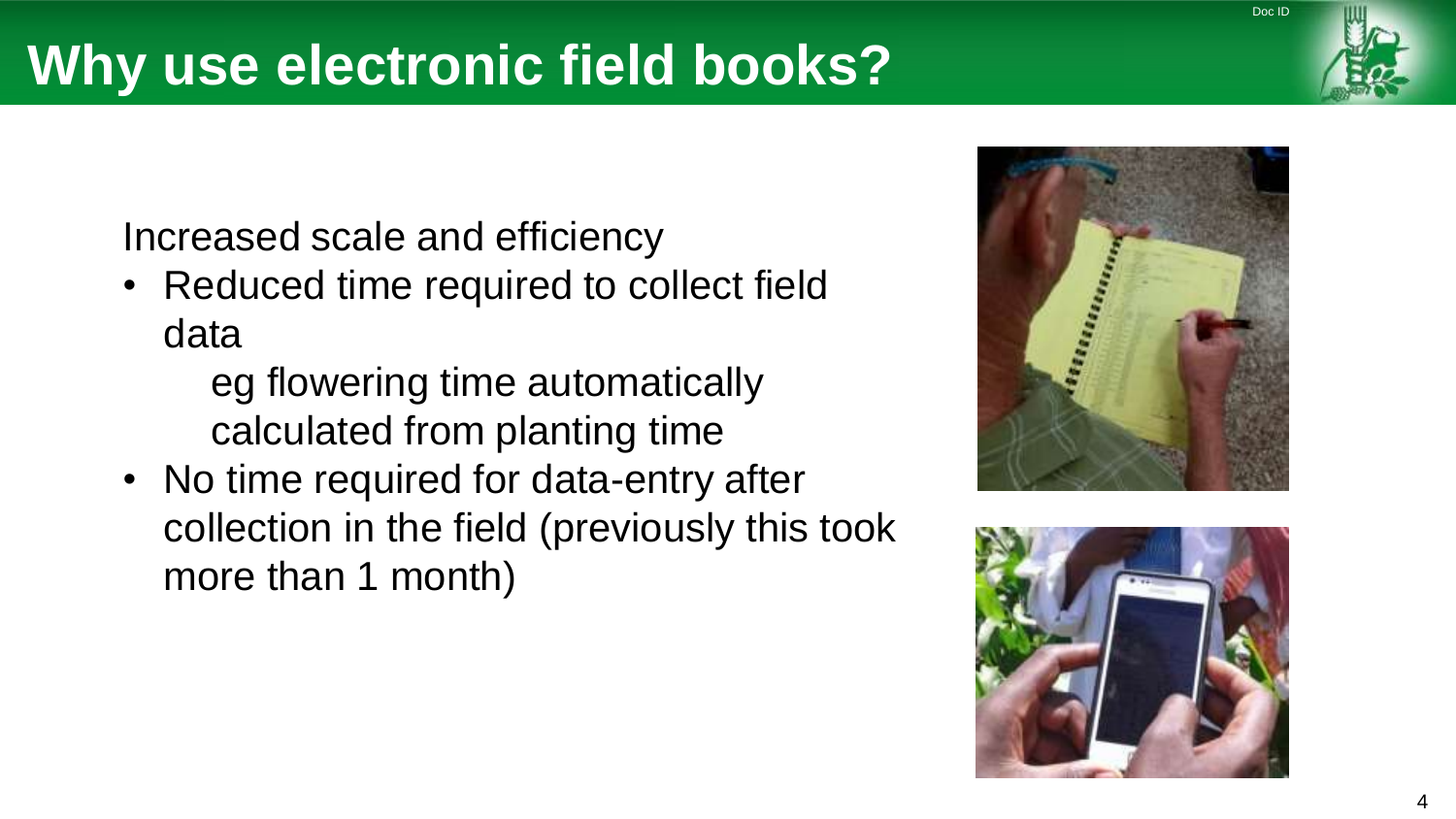Increased scale and efficiency

• Reduced time required to collect field data

> eg flowering time automatically calculated from planting time

• No time required for data-entry after collection in the field (previously this took more than 1 month)





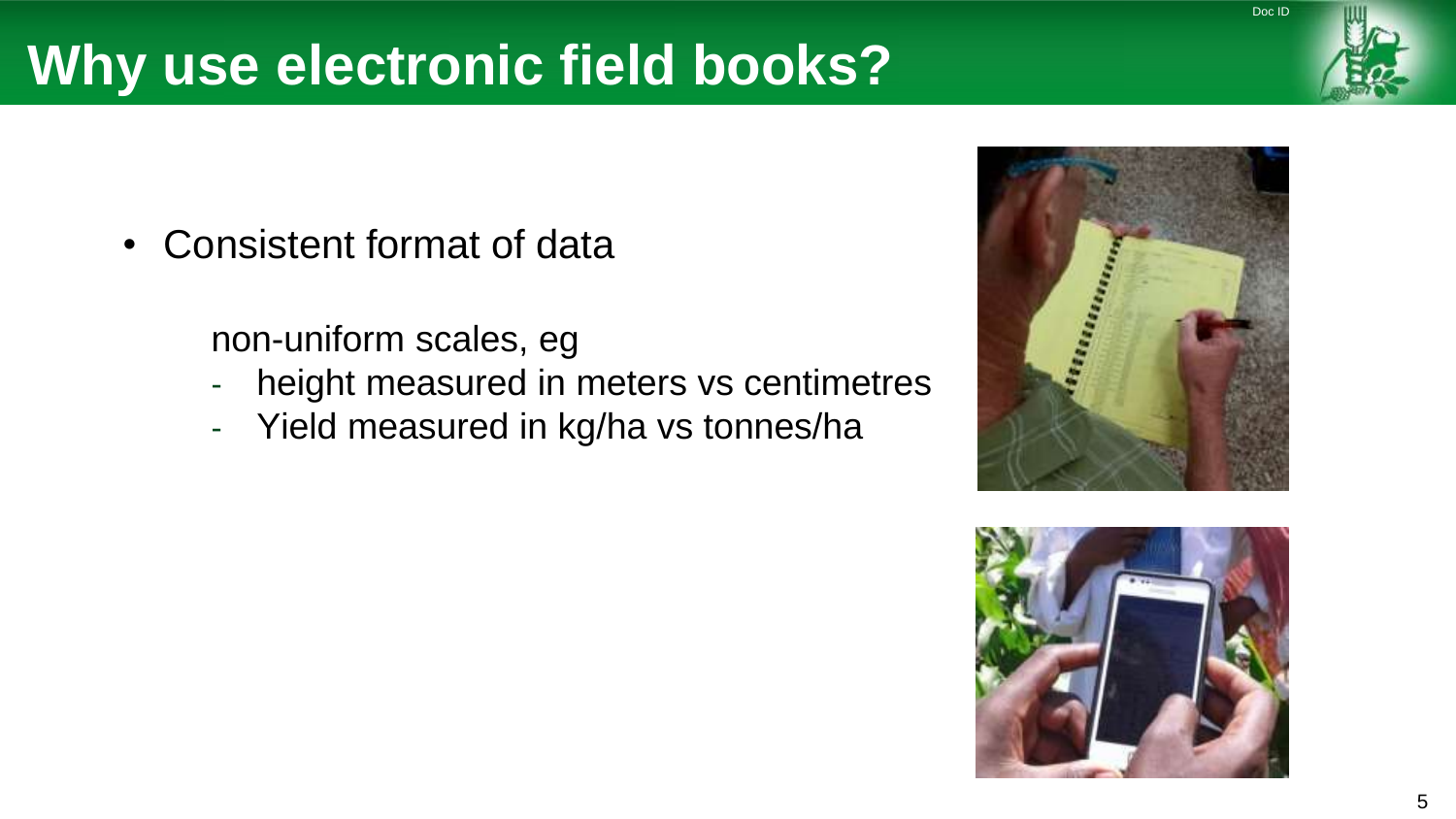Doc ID

• Consistent format of data

non-uniform scales, eg

- height measured in meters vs centimetres
- Yield measured in kg/ha vs tonnes/ha



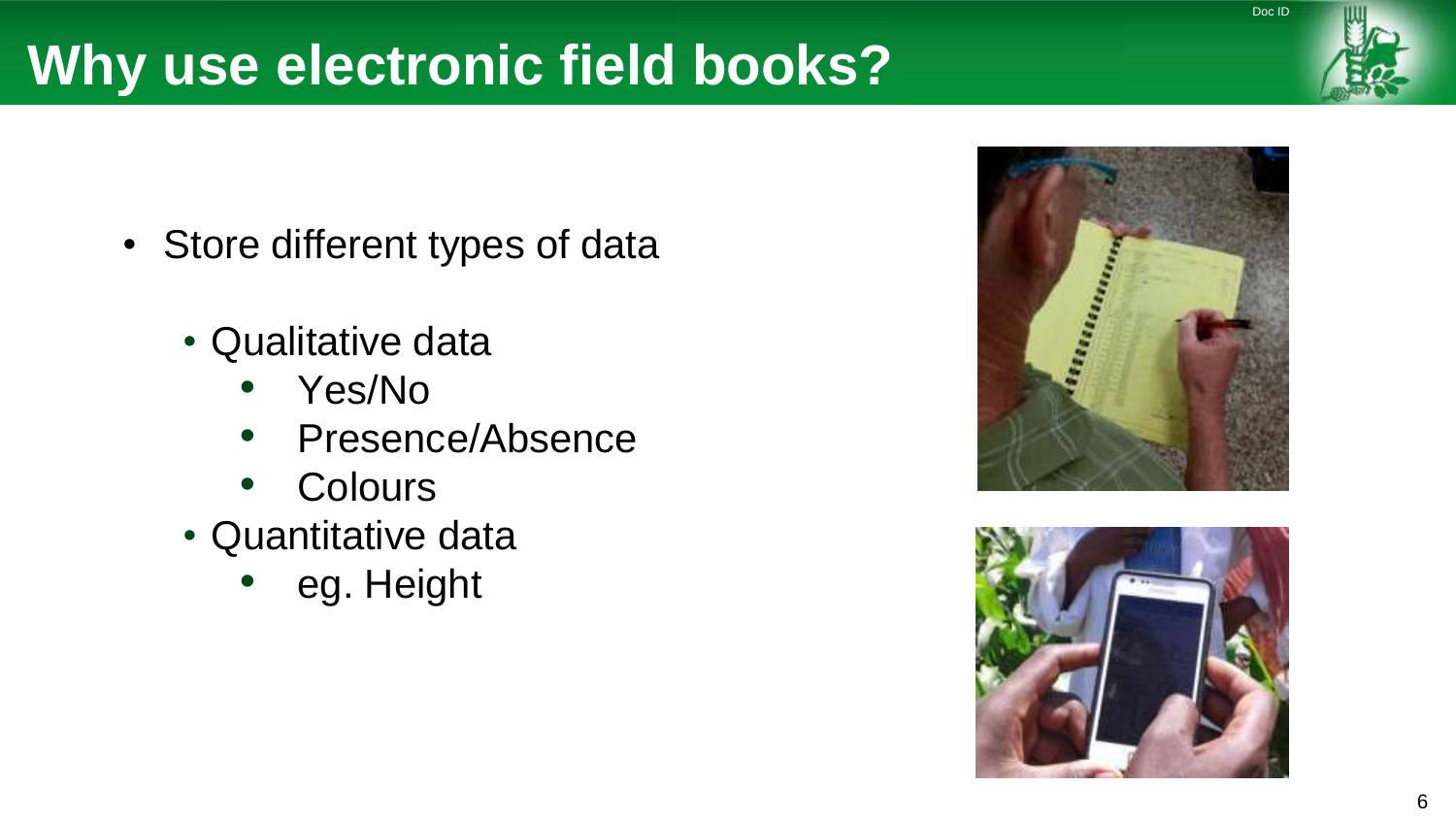- Store different types of data
	- Qualitative data
		- Yes/No
		- Presence/Absence
		- **Colours**
	- Quantitative data
		- eg. Height





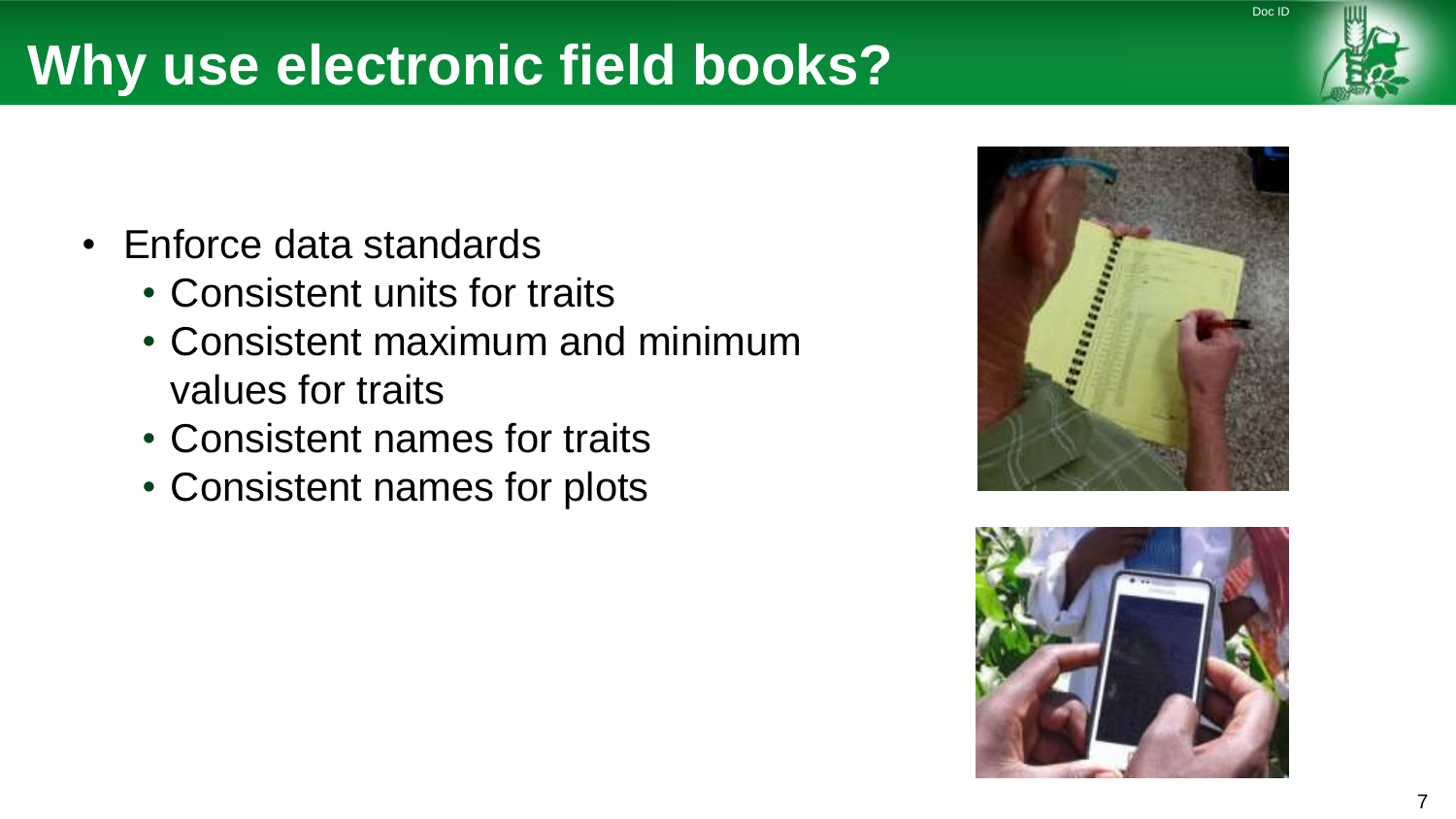- Enforce data standards
	- Consistent units for traits
	- Consistent maximum and minimum values for traits
	- Consistent names for traits
	- Consistent names for plots





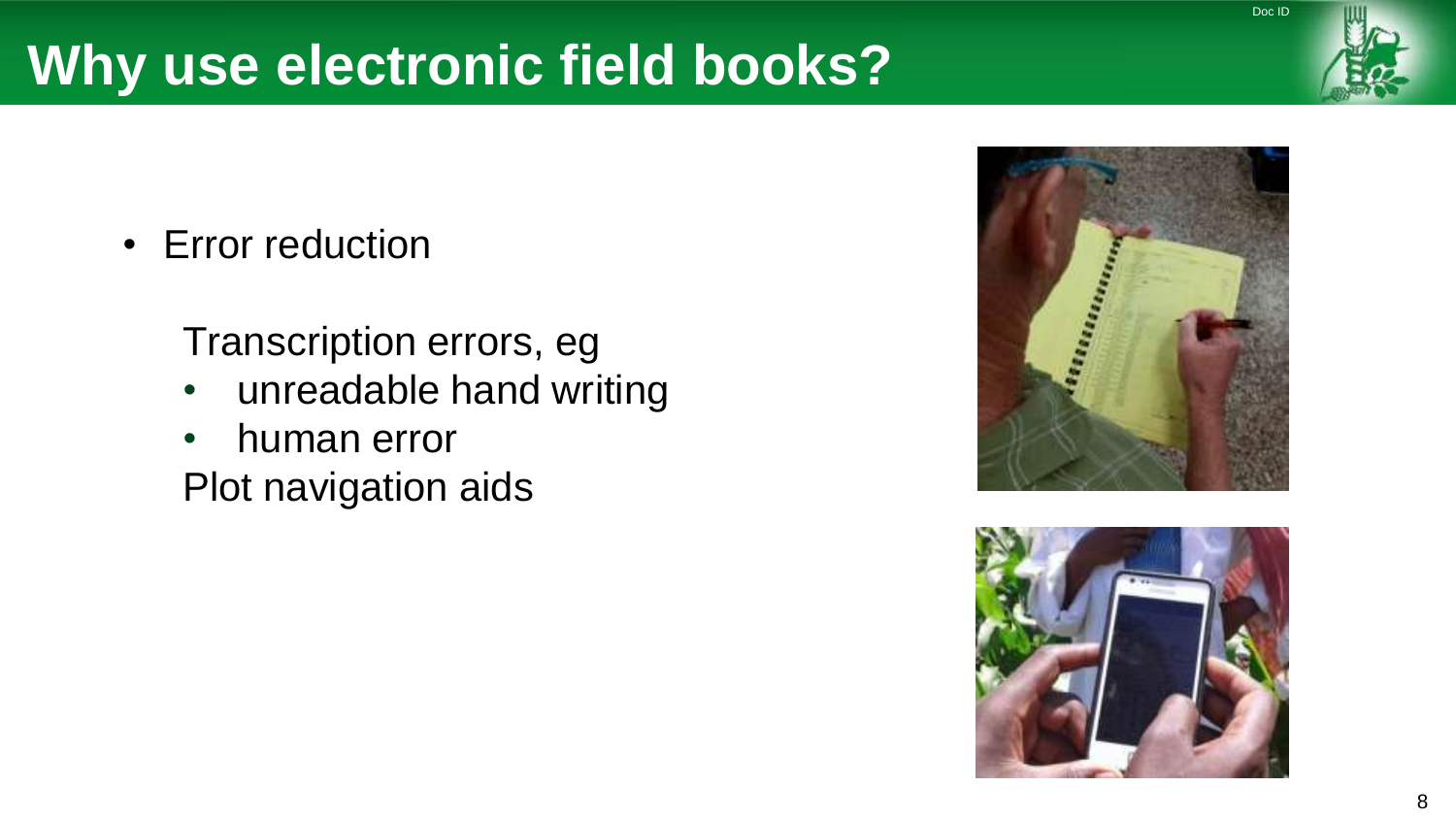- Error reduction
	- Transcription errors, eg
	- unreadable hand writing
	- human error Plot navigation aids







Doc ID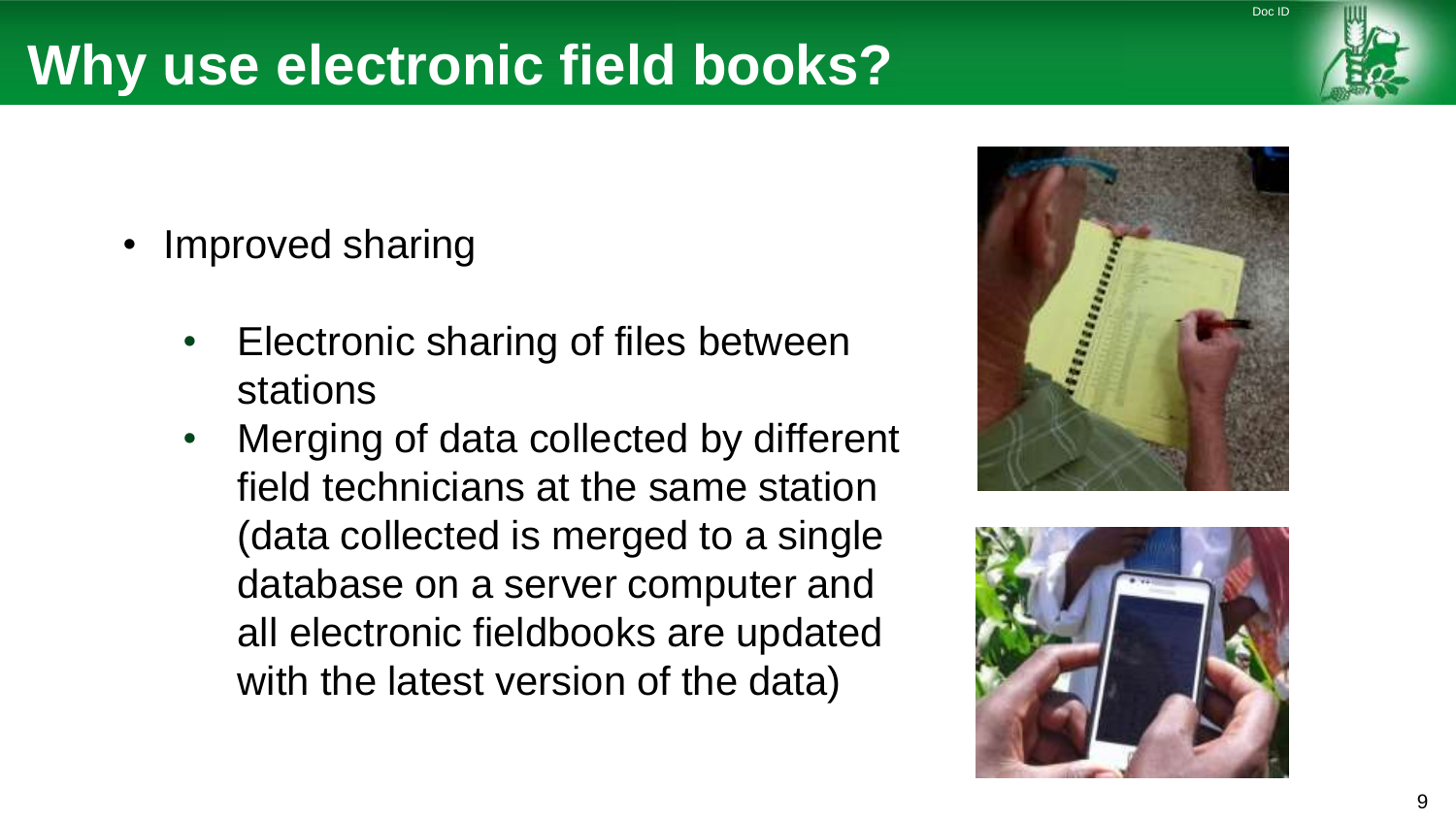- Improved sharing
	- Electronic sharing of files between stations
	- Merging of data collected by different field technicians at the same station (data collected is merged to a single database on a server computer and all electronic fieldbooks are updated with the latest version of the data)





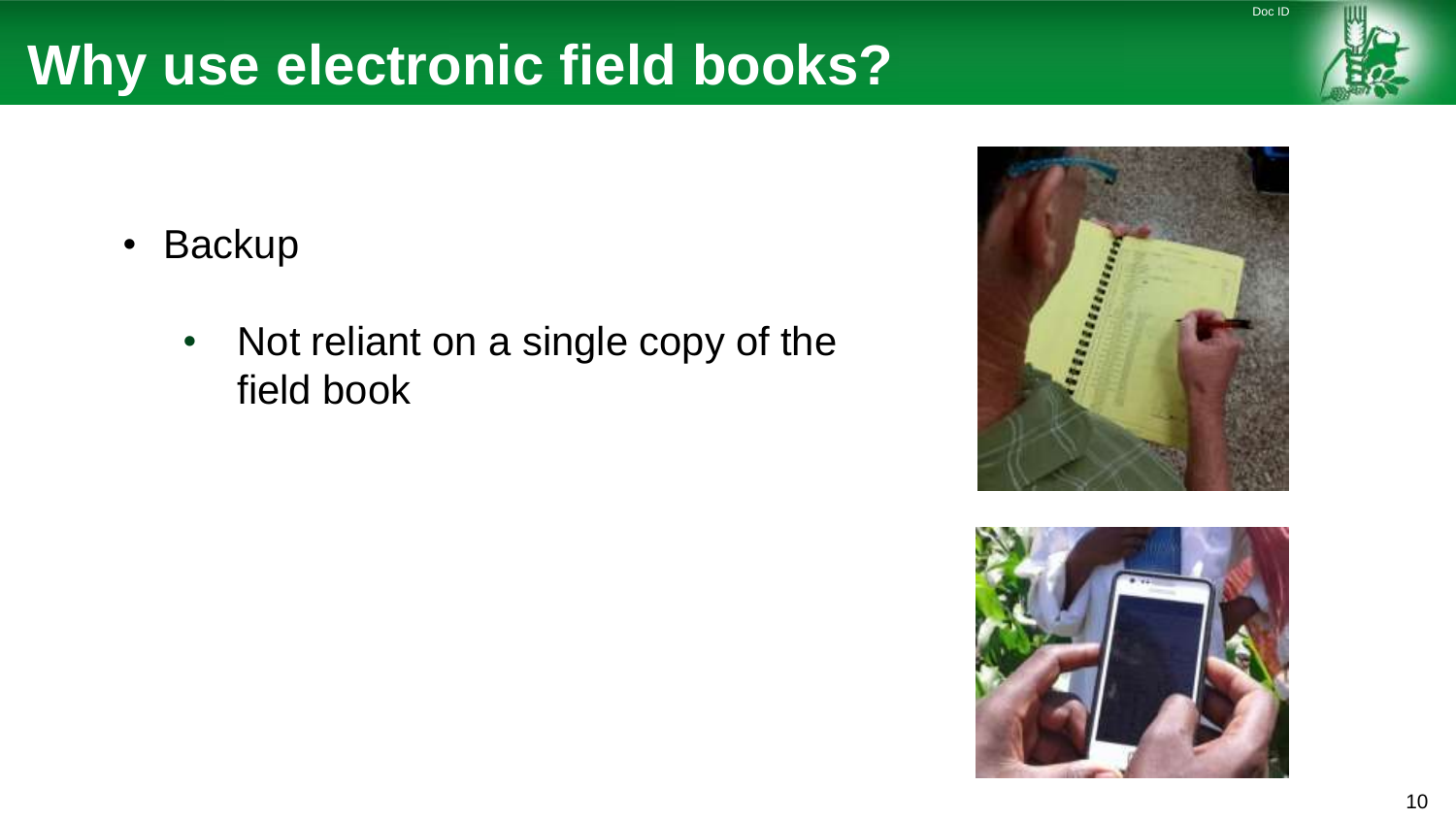- Backup
	- Not reliant on a single copy of the field book





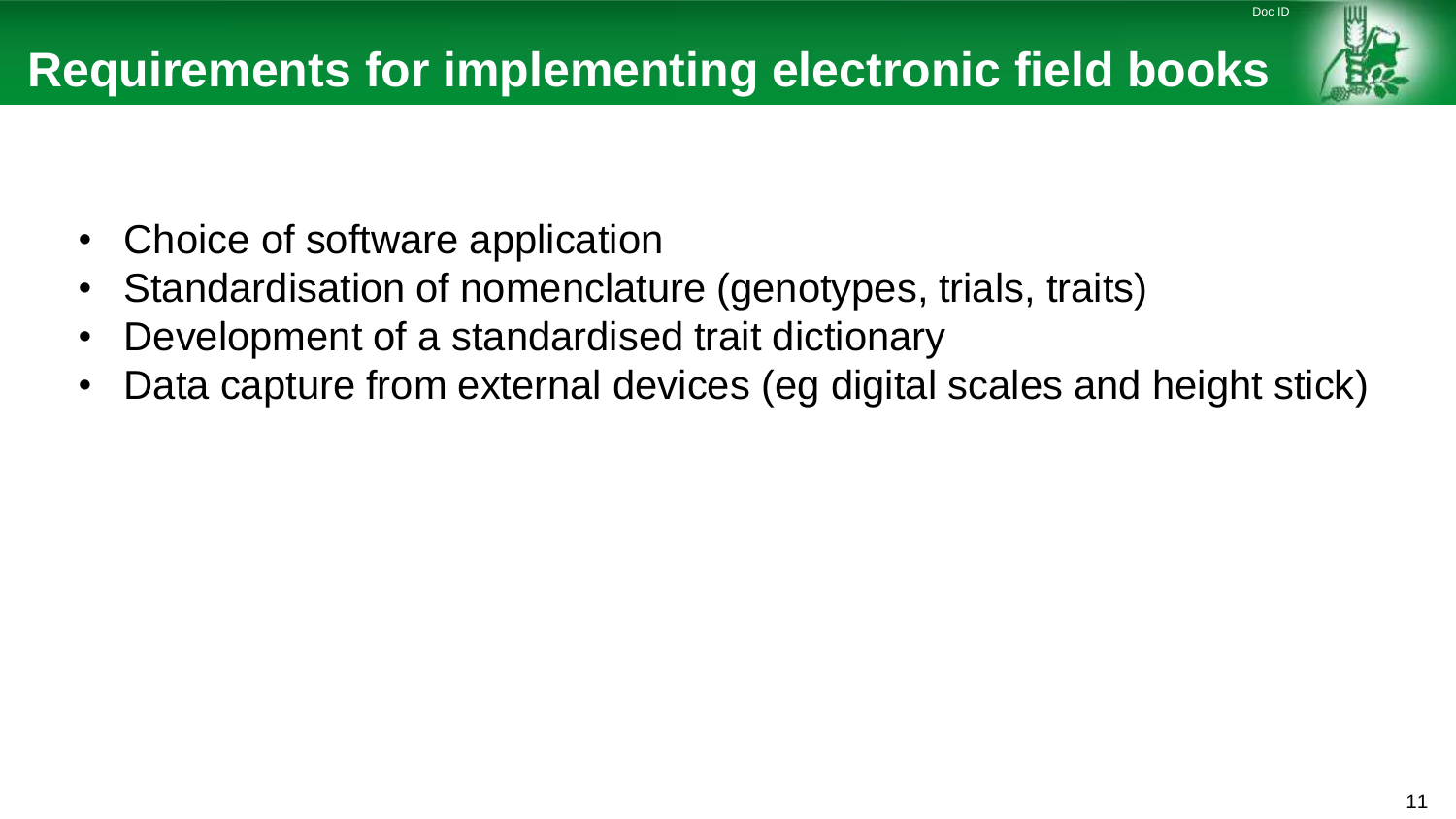#### **Requirements for implementing electronic field books**

- Choice of software application
- Standardisation of nomenclature (genotypes, trials, traits)
- Development of a standardised trait dictionary
- Data capture from external devices (eg digital scales and height stick)

Doc ID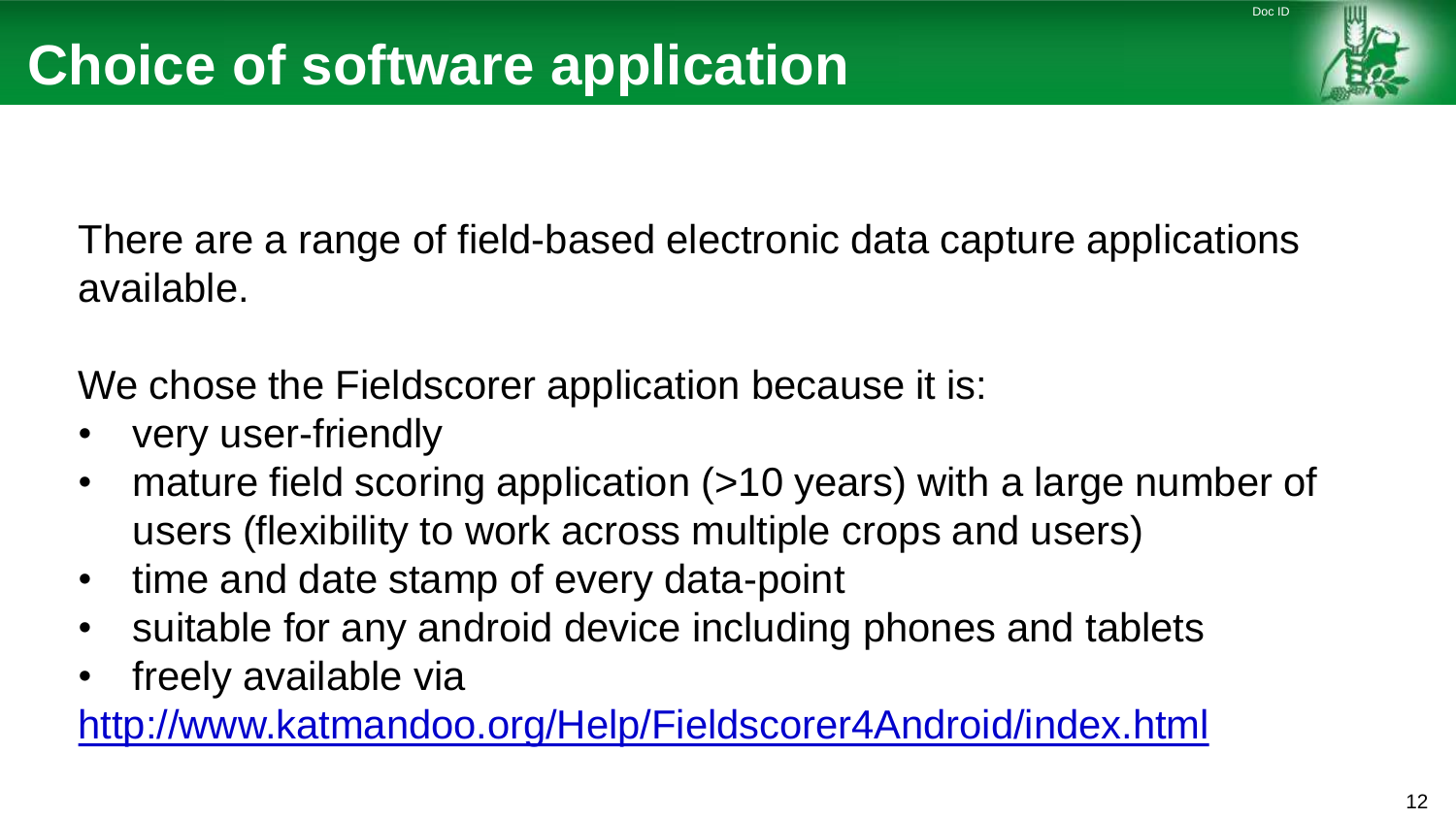There are a range of field-based electronic data capture applications available.

We chose the Fieldscorer application because it is:

- very user-friendly
- mature field scoring application (>10 years) with a large number of users (flexibility to work across multiple crops and users)
- time and date stamp of every data-point
- suitable for any android device including phones and tablets
- freely available via

http://www.katmandoo.org/Help/Fieldscorer4Android/index.html

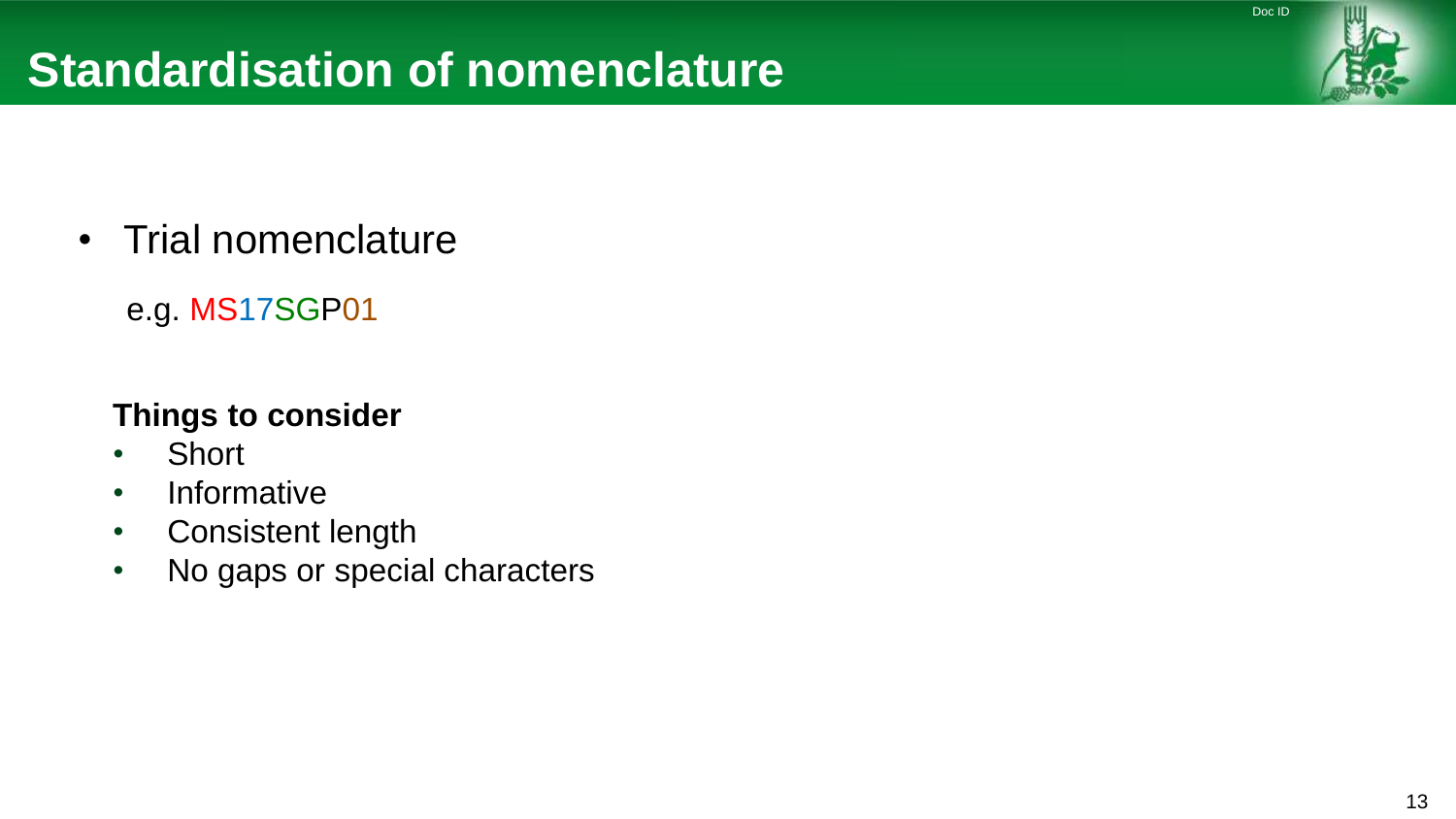

Doc ID

- $\cdot$  Trial nomenclature
	- e.g. MS17SGP01

#### **Things to consider**

- Short
- Informative
- Consistent length
- No gaps or special characters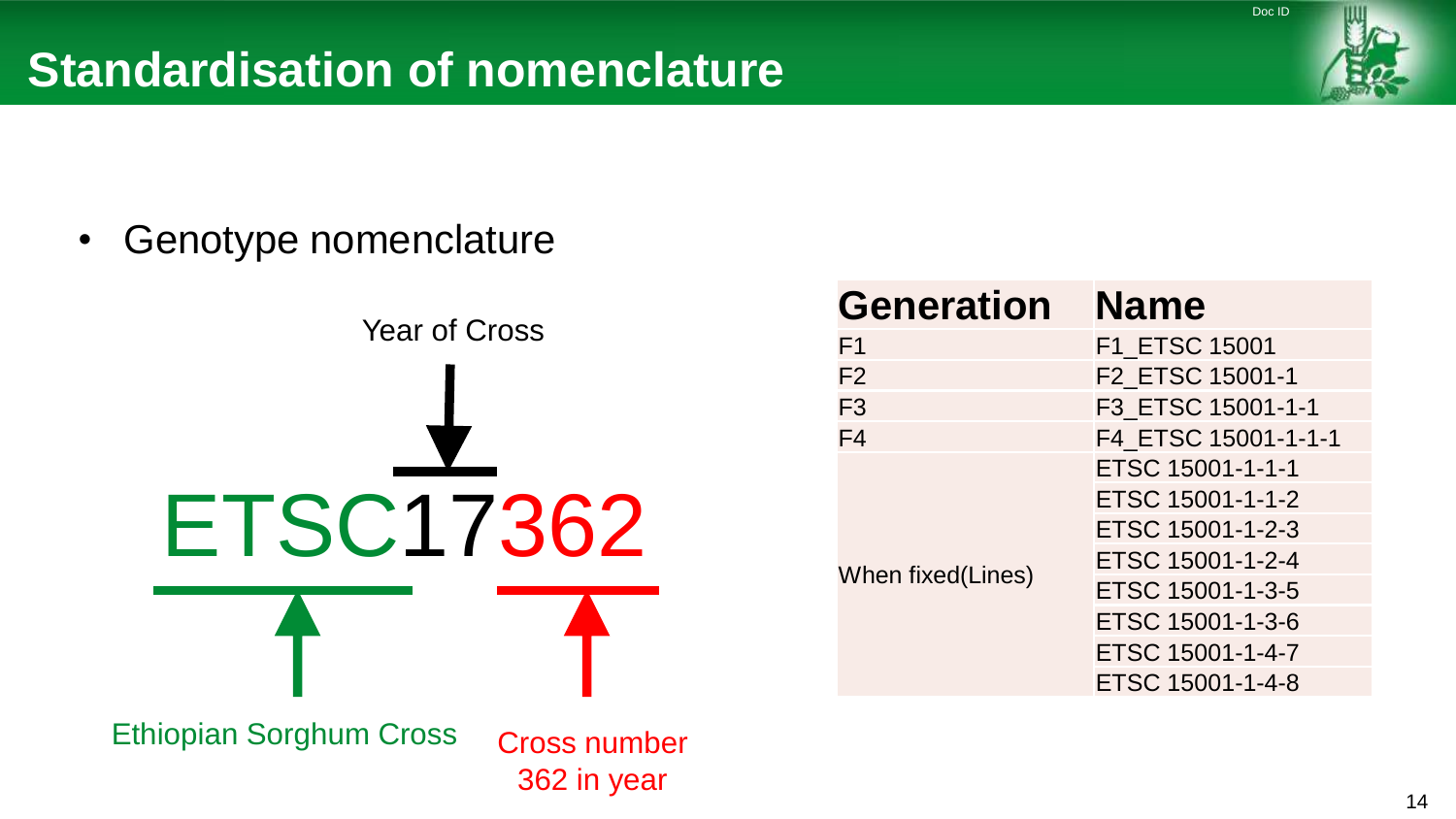Doc ID

• Genotype nomenclature



| <b>Generation</b> | <b>Name</b>         |
|-------------------|---------------------|
| F <sub>1</sub>    | F1_ETSC 15001       |
| F <sub>2</sub>    | F2_ETSC 15001-1     |
| F <sub>3</sub>    | F3 ETSC 15001-1-1   |
| F <sub>4</sub>    | F4 ETSC 15001-1-1-1 |
| When fixed(Lines) | ETSC 15001-1-1-1    |
|                   | ETSC 15001-1-1-2    |
|                   | ETSC 15001-1-2-3    |
|                   | ETSC 15001-1-2-4    |
|                   | ETSC 15001-1-3-5    |
|                   | ETSC 15001-1-3-6    |
|                   | ETSC 15001-1-4-7    |
|                   | ETSC 15001-1-4-8    |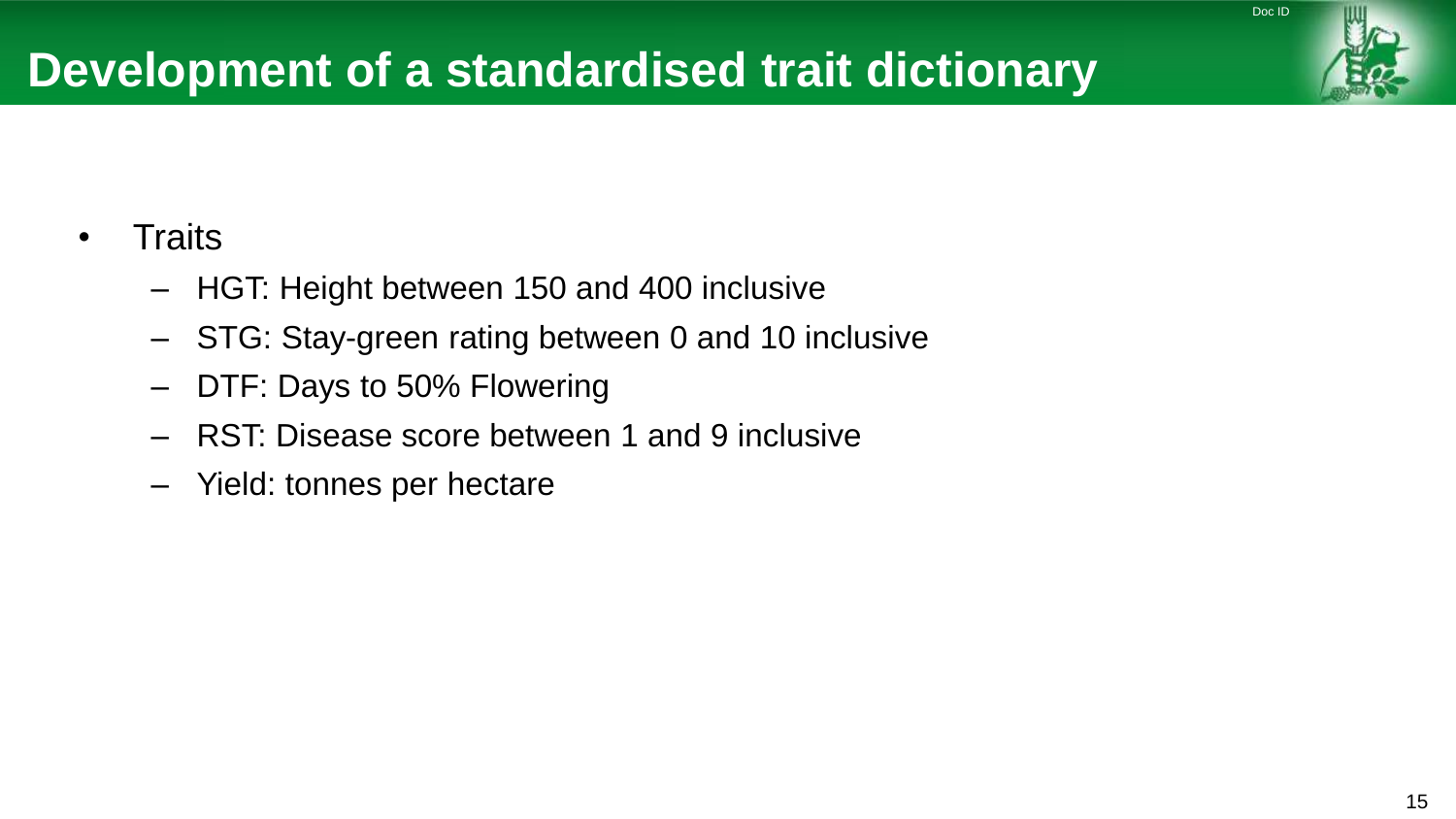#### **Traits**

- HGT: Height between 150 and 400 inclusive
- STG: Stay-green rating between 0 and 10 inclusive
- DTF: Days to 50% Flowering
- RST: Disease score between 1 and 9 inclusive
- Yield: tonnes per hectare

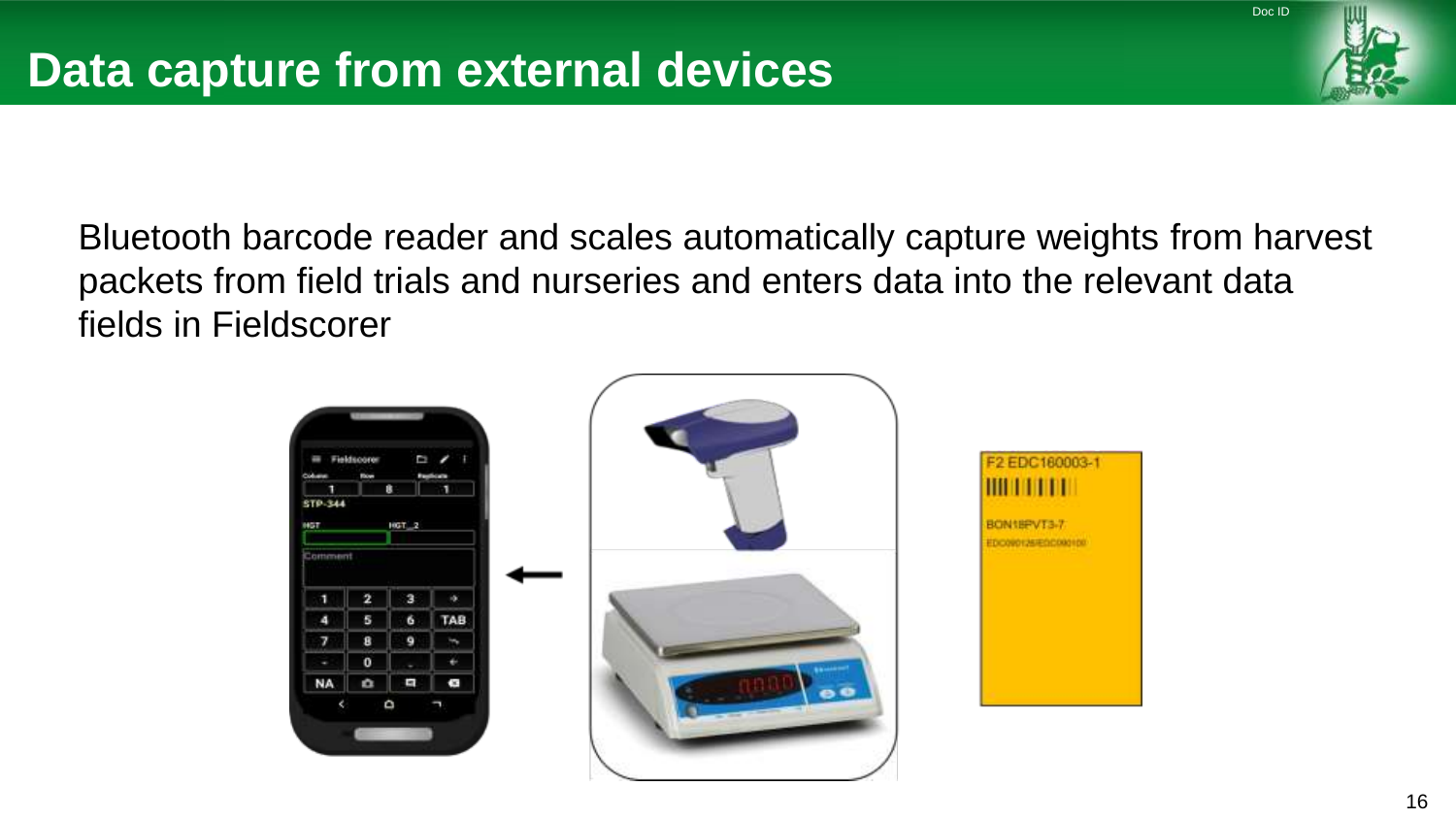

Bluetooth barcode reader and scales automatically capture weights from harvest packets from field trials and nurseries and enters data into the relevant data fields in Fieldscorer



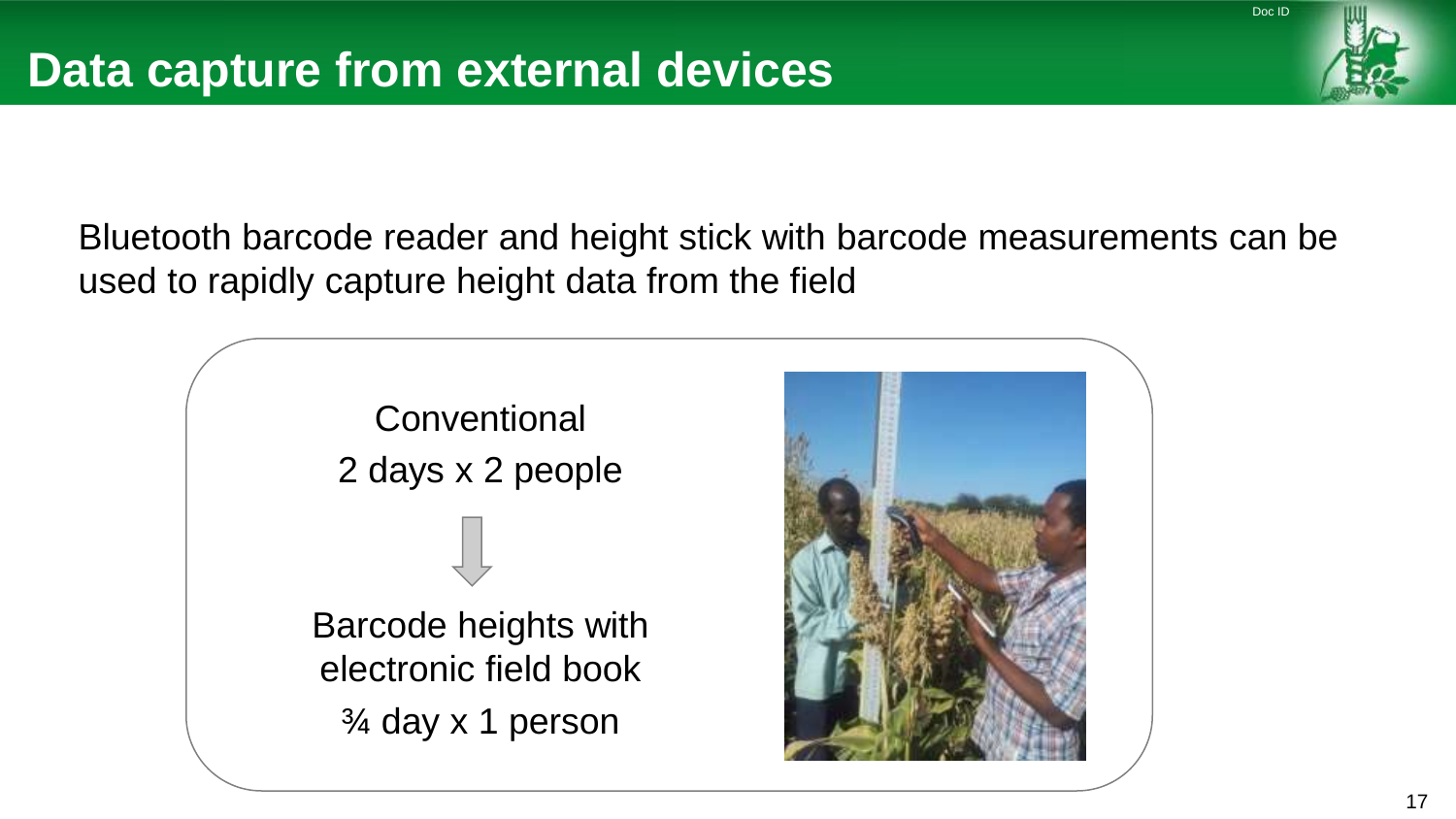Bluetooth barcode reader and height stick with barcode measurements can be used to rapidly capture height data from the field





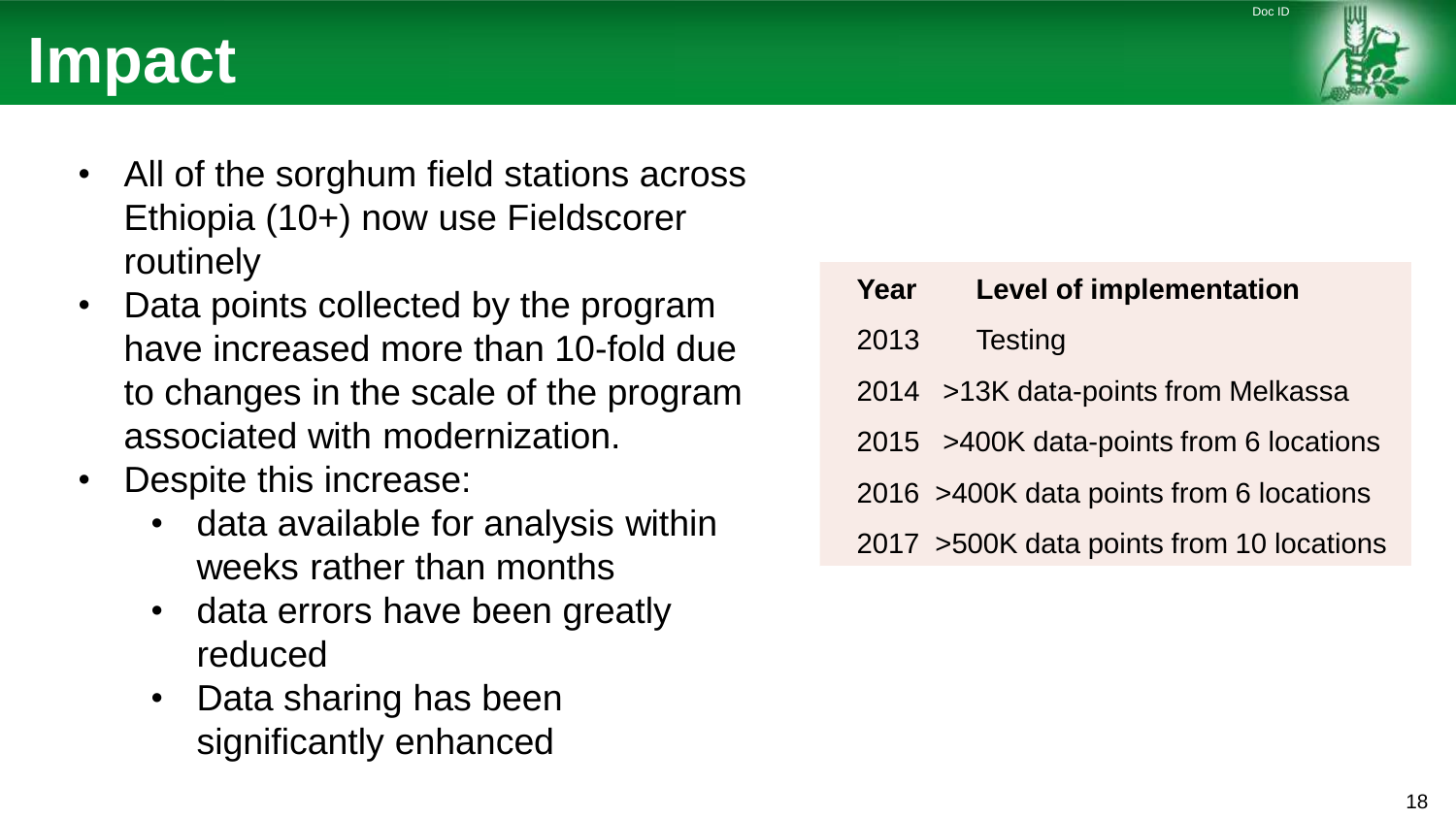# **Impact**

- All of the sorghum field stations across Ethiopia (10+) now use Fieldscorer routinely
- Data points collected by the program have increased more than 10-fold due to changes in the scale of the program associated with modernization.
- Despite this increase:
	- data available for analysis within weeks rather than months
	- data errors have been greatly reduced
	- Data sharing has been significantly enhanced

| Year | <b>Level of implementation</b>            |
|------|-------------------------------------------|
| 2013 | <b>Testing</b>                            |
|      | 2014 > 13K data-points from Melkassa      |
|      | 2015 >400K data-points from 6 locations   |
|      | 2016 >400K data points from 6 locations   |
|      | 2017 > 500K data points from 10 locations |

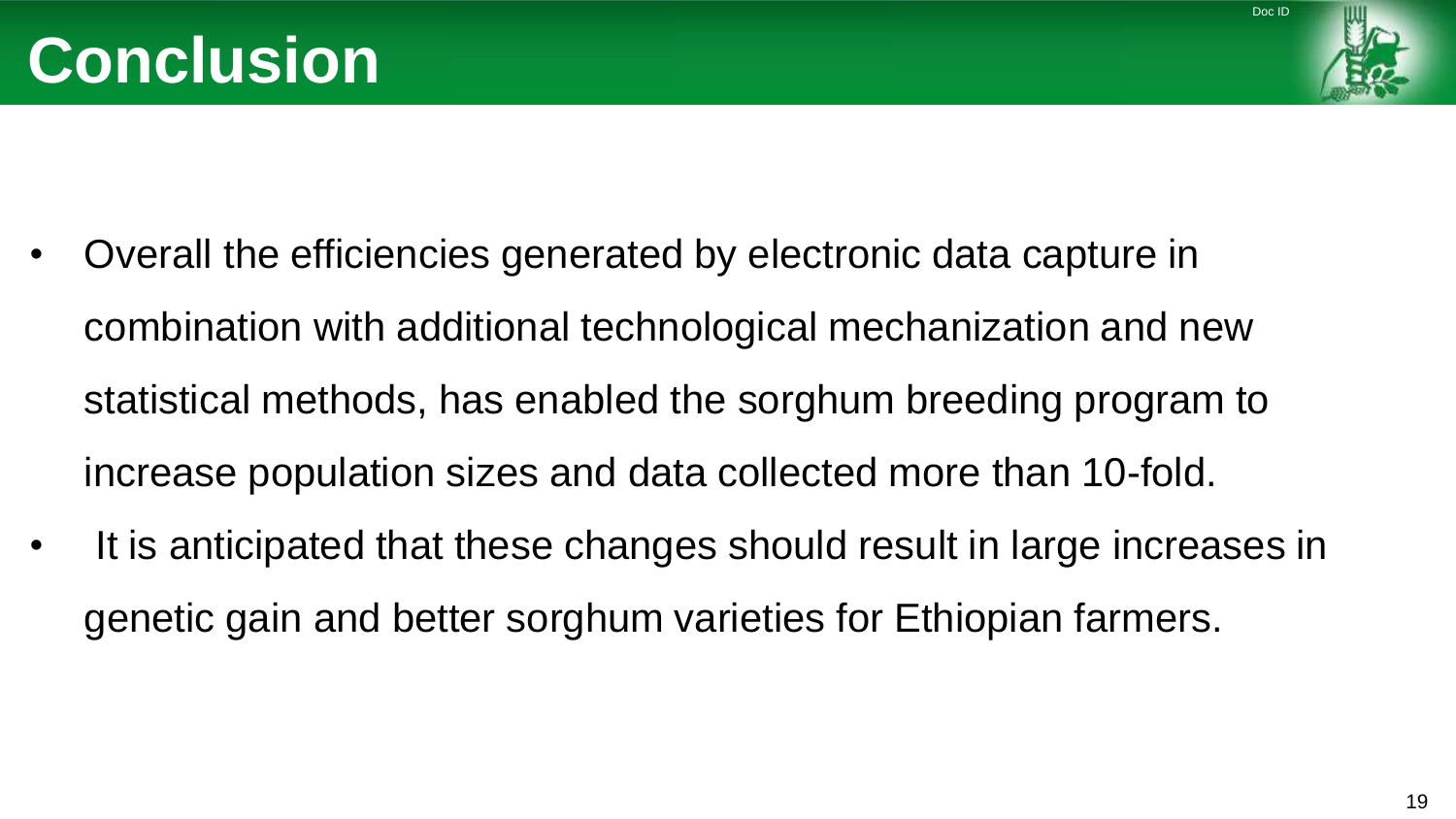

- Overall the efficiencies generated by electronic data capture in combination with additional technological mechanization and new statistical methods, has enabled the sorghum breeding program to increase population sizes and data collected more than 10-fold.
- It is anticipated that these changes should result in large increases in genetic gain and better sorghum varieties for Ethiopian farmers.